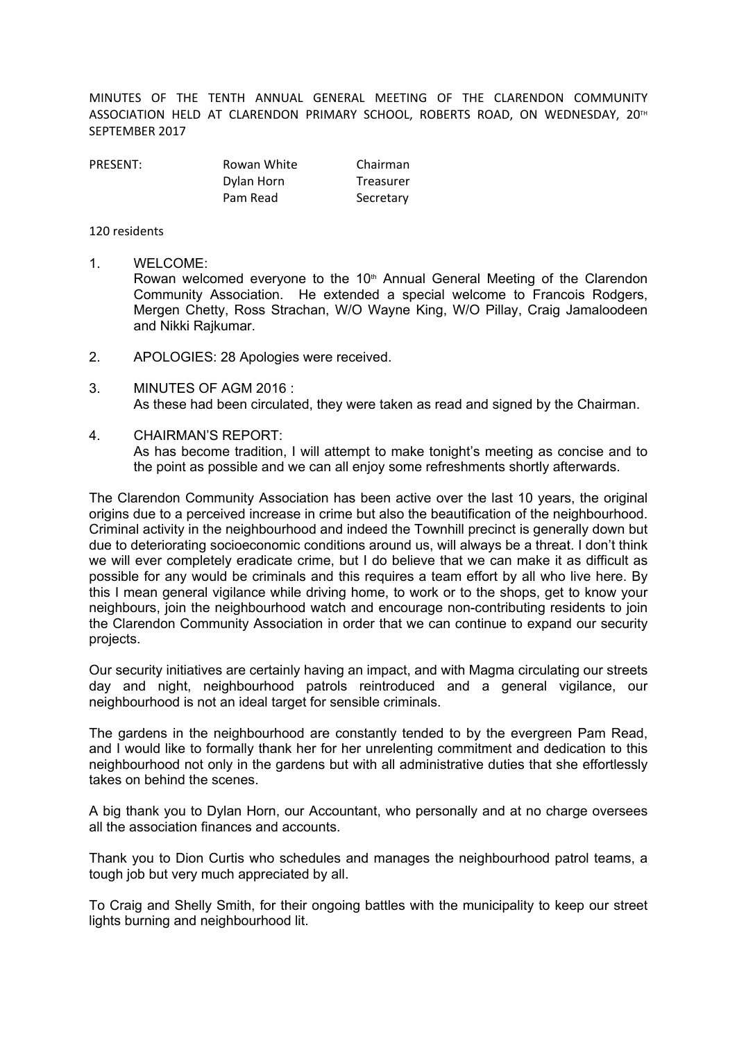MINUTES OF THE TENTH ANNUAL GENERAL MEETING OF THE CLARENDON COMMUNITY ASSOCIATION HELD AT CLARENDON PRIMARY SCHOOL, ROBERTS ROAD, ON WEDNESDAY, 20TH SEPTEMBER 2017

| PRESENT: | Rowan White | Chairman  |
|----------|-------------|-----------|
|          | Dylan Horn  | Treasurer |
|          | Pam Read    | Secretary |

120 residents

1. WELCOME:

Rowan welcomed everyone to the 10<sup>th</sup> Annual General Meeting of the Clarendon Community Association. He extended a special welcome to Francois Rodgers, Mergen Chetty, Ross Strachan, W/O Wayne King, W/O Pillay, Craig Jamaloodeen and Nikki Rajkumar.

- 2. APOLOGIES: 28 Apologies were received.
- 3. MINUTES OF AGM 2016 : As these had been circulated, they were taken as read and signed by the Chairman.
- 4. CHAIRMAN'S REPORT: As has become tradition, I will attempt to make tonight's meeting as concise and to the point as possible and we can all enjoy some refreshments shortly afterwards.

The Clarendon Community Association has been active over the last 10 years, the original origins due to a perceived increase in crime but also the beautification of the neighbourhood. Criminal activity in the neighbourhood and indeed the Townhill precinct is generally down but due to deteriorating socioeconomic conditions around us, will always be a threat. I don't think we will ever completely eradicate crime, but I do believe that we can make it as difficult as possible for any would be criminals and this requires a team effort by all who live here. By this I mean general vigilance while driving home, to work or to the shops, get to know your neighbours, join the neighbourhood watch and encourage non-contributing residents to join the Clarendon Community Association in order that we can continue to expand our security projects.

Our security initiatives are certainly having an impact, and with Magma circulating our streets day and night, neighbourhood patrols reintroduced and a general vigilance, our neighbourhood is not an ideal target for sensible criminals.

The gardens in the neighbourhood are constantly tended to by the evergreen Pam Read, and I would like to formally thank her for her unrelenting commitment and dedication to this neighbourhood not only in the gardens but with all administrative duties that she effortlessly takes on behind the scenes.

A big thank you to Dylan Horn, our Accountant, who personally and at no charge oversees all the association finances and accounts.

Thank you to Dion Curtis who schedules and manages the neighbourhood patrol teams, a tough job but very much appreciated by all.

To Craig and Shelly Smith, for their ongoing battles with the municipality to keep our street lights burning and neighbourhood lit.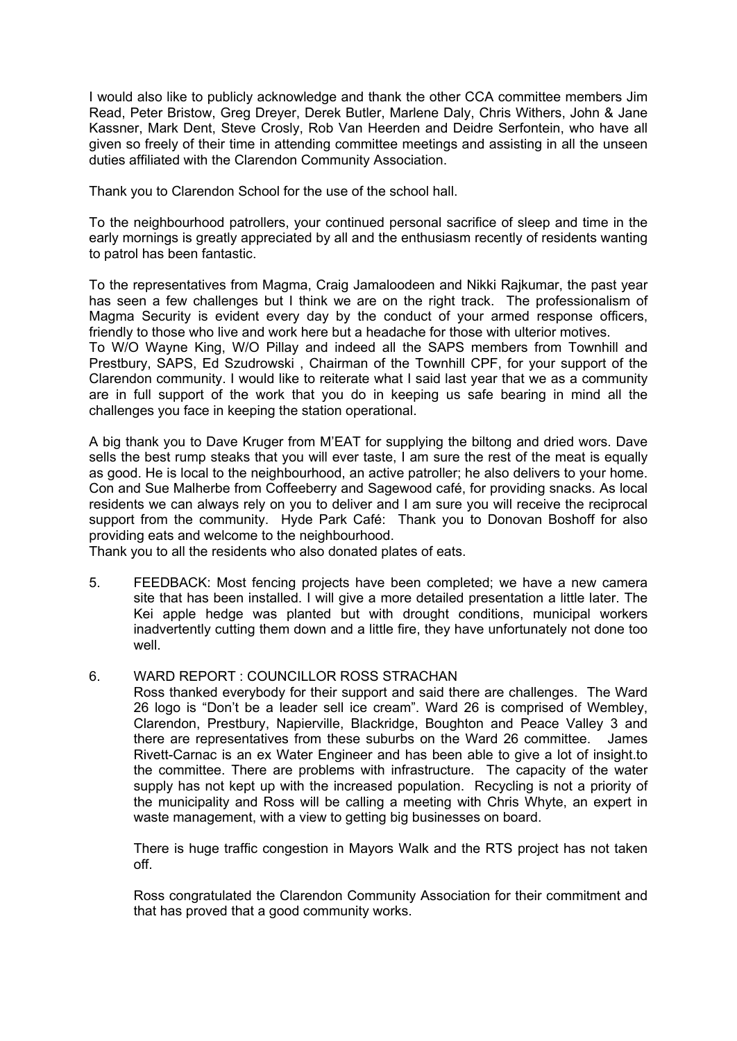I would also like to publicly acknowledge and thank the other CCA committee members Jim Read, Peter Bristow, Greg Dreyer, Derek Butler, Marlene Daly, Chris Withers, John & Jane Kassner, Mark Dent, Steve Crosly, Rob Van Heerden and Deidre Serfontein, who have all given so freely of their time in attending committee meetings and assisting in all the unseen duties affiliated with the Clarendon Community Association.

Thank you to Clarendon School for the use of the school hall.

To the neighbourhood patrollers, your continued personal sacrifice of sleep and time in the early mornings is greatly appreciated by all and the enthusiasm recently of residents wanting to patrol has been fantastic.

To the representatives from Magma, Craig Jamaloodeen and Nikki Rajkumar, the past year has seen a few challenges but I think we are on the right track. The professionalism of Magma Security is evident every day by the conduct of your armed response officers, friendly to those who live and work here but a headache for those with ulterior motives.

To W/O Wayne King, W/O Pillay and indeed all the SAPS members from Townhill and Prestbury, SAPS, Ed Szudrowski , Chairman of the Townhill CPF, for your support of the Clarendon community. I would like to reiterate what I said last year that we as a community are in full support of the work that you do in keeping us safe bearing in mind all the challenges you face in keeping the station operational.

A big thank you to Dave Kruger from M'EAT for supplying the biltong and dried wors. Dave sells the best rump steaks that you will ever taste, I am sure the rest of the meat is equally as good. He is local to the neighbourhood, an active patroller; he also delivers to your home. Con and Sue Malherbe from Coffeeberry and Sagewood café, for providing snacks. As local residents we can always rely on you to deliver and I am sure you will receive the reciprocal support from the community. Hyde Park Café: Thank you to Donovan Boshoff for also providing eats and welcome to the neighbourhood.

Thank you to all the residents who also donated plates of eats.

- 5. FEEDBACK: Most fencing projects have been completed; we have a new camera site that has been installed. I will give a more detailed presentation a little later. The Kei apple hedge was planted but with drought conditions, municipal workers inadvertently cutting them down and a little fire, they have unfortunately not done too well.
- 6. WARD REPORT : COUNCILLOR ROSS STRACHAN

Ross thanked everybody for their support and said there are challenges. The Ward 26 logo is "Don't be a leader sell ice cream". Ward 26 is comprised of Wembley, Clarendon, Prestbury, Napierville, Blackridge, Boughton and Peace Valley 3 and there are representatives from these suburbs on the Ward 26 committee. James Rivett-Carnac is an ex Water Engineer and has been able to give a lot of insight.to the committee. There are problems with infrastructure. The capacity of the water supply has not kept up with the increased population. Recycling is not a priority of the municipality and Ross will be calling a meeting with Chris Whyte, an expert in waste management, with a view to getting big businesses on board.

There is huge traffic congestion in Mayors Walk and the RTS project has not taken off.

Ross congratulated the Clarendon Community Association for their commitment and that has proved that a good community works.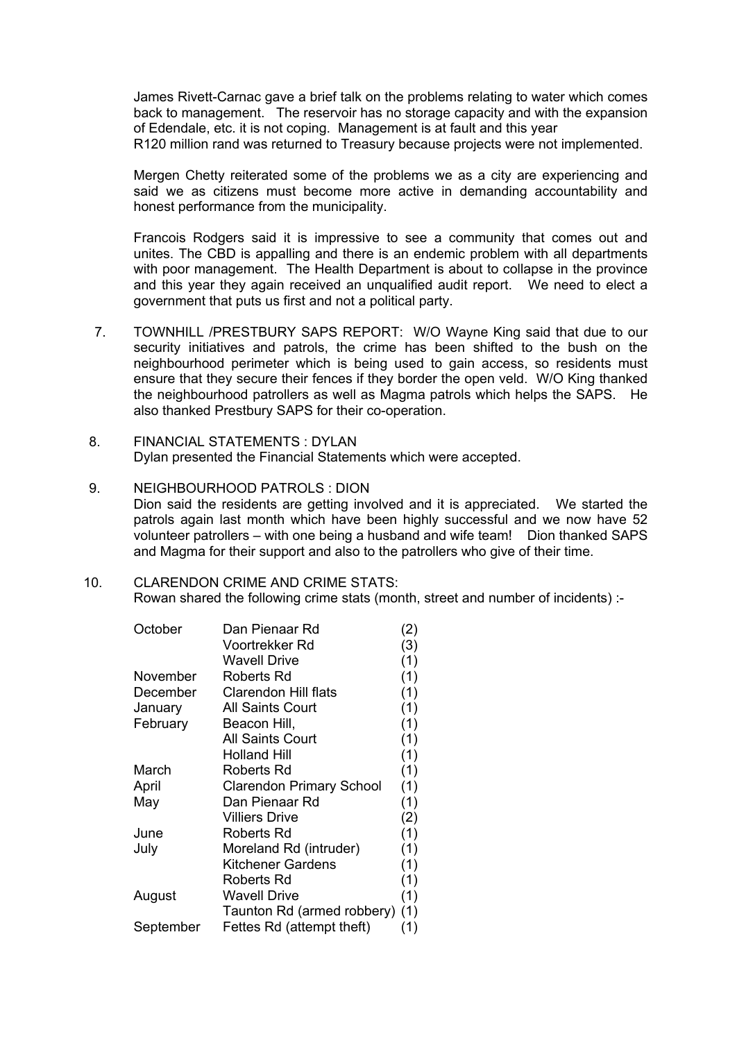James Rivett-Carnac gave a brief talk on the problems relating to water which comes back to management. The reservoir has no storage capacity and with the expansion of Edendale, etc. it is not coping. Management is at fault and this year R120 million rand was returned to Treasury because projects were not implemented.

Mergen Chetty reiterated some of the problems we as a city are experiencing and said we as citizens must become more active in demanding accountability and honest performance from the municipality.

Francois Rodgers said it is impressive to see a community that comes out and unites. The CBD is appalling and there is an endemic problem with all departments with poor management. The Health Department is about to collapse in the province and this year they again received an unqualified audit report. We need to elect a government that puts us first and not a political party.

- 7. TOWNHILL /PRESTBURY SAPS REPORT: W/O Wayne King said that due to our security initiatives and patrols, the crime has been shifted to the bush on the neighbourhood perimeter which is being used to gain access, so residents must ensure that they secure their fences if they border the open veld. W/O King thanked the neighbourhood patrollers as well as Magma patrols which helps the SAPS. He also thanked Prestbury SAPS for their co-operation.
- 8. FINANCIAL STATEMENTS : DYLAN Dylan presented the Financial Statements which were accepted.
- 9. NEIGHBOURHOOD PATROLS : DION Dion said the residents are getting involved and it is appreciated. We started the patrols again last month which have been highly successful and we now have 52 volunteer patrollers – with one being a husband and wife team! Dion thanked SAPS and Magma for their support and also to the patrollers who give of their time.

#### 10. CLARENDON CRIME AND CRIME STATS: Rowan shared the following crime stats (month, street and number of incidents) :-

| October   | Dan Pienaar Rd                  | (2) |
|-----------|---------------------------------|-----|
|           | Voortrekker Rd                  | (3) |
|           | <b>Wavell Drive</b>             | (1) |
| November  | Roberts Rd                      | (1) |
| December  | Clarendon Hill flats            | (1) |
| January   | All Saints Court                | (1) |
| February  | Beacon Hill,                    | (1) |
|           | All Saints Court                | (1) |
|           | Holland Hill                    | (1) |
| March     | Roberts Rd                      | (1) |
| April     | <b>Clarendon Primary School</b> | (1) |
| May       | Dan Pienaar Rd                  | (1) |
|           | <b>Villiers Drive</b>           | (2) |
| June      | Roberts Rd                      | (1) |
| July      | Moreland Rd (intruder)          | (1) |
|           | <b>Kitchener Gardens</b>        | (1) |
|           | Roberts Rd                      | (1) |
| August    | Wavell Drive                    | (1) |
|           | Taunton Rd (armed robbery) (1)  |     |
| September | Fettes Rd (attempt theft)       | (1) |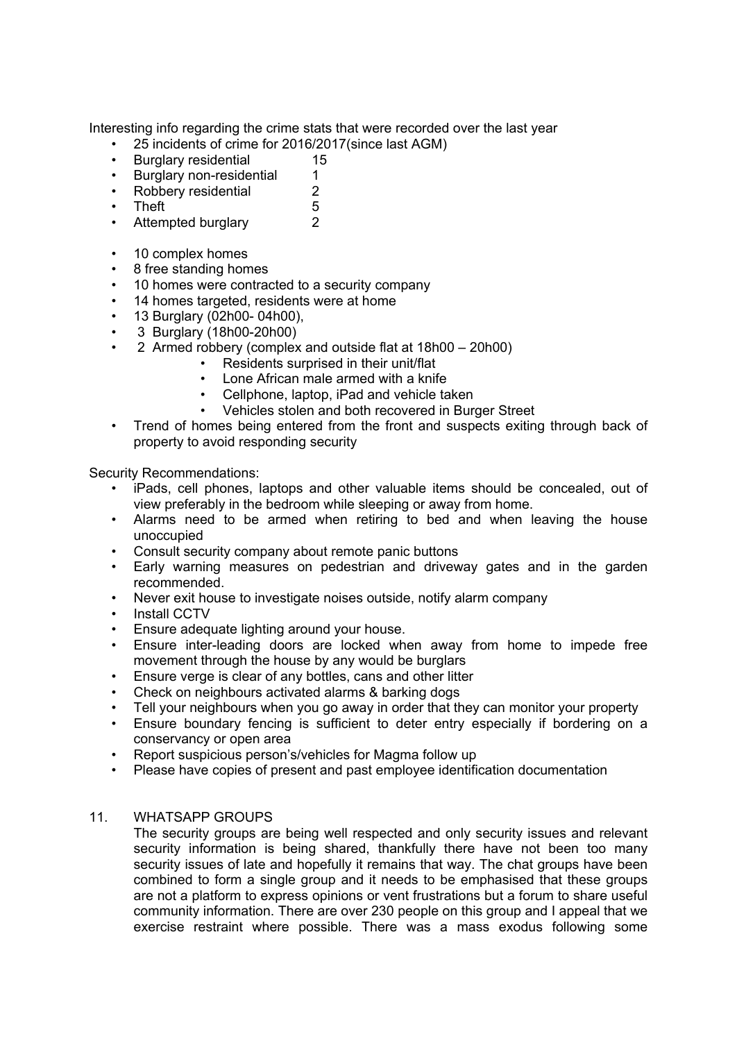Interesting info regarding the crime stats that were recorded over the last year • 25 incidents of crime for 2016/2017(since last AGM)

- 
- **Burglary residential** 15
- Burglary non-residential 1
- Robbery residential 2
- Theft 5
- Attempted burglary 2
- 
- 
- 10 complex homes 8 free standing homes 10 homes were contracted to a security company
- 14 homes targeted, residents were at home
- 13 Burglary (02h00- 04h00), 3 Burglary (18h00-20h00)
- 
- 2 Armed robbery (complex and outside flat at 18h00 20h00)
	- Residents surprised in their unit/flat
	- Lone African male armed with a knife
	- Cellphone, laptop, iPad and vehicle taken
	- Vehicles stolen and both recovered in Burger Street
- Trend of homes being entered from the front and suspects exiting through back of property to avoid responding security

Security Recommendations:

- iPads, cell phones, laptops and other valuable items should be concealed, out of view preferably in the bedroom while sleeping or away from home.
- Alarms need to be armed when retiring to bed and when leaving the house unoccupied<br>
Consult security company about remote panic buttons
- 
- Early warning measures on pedestrian and driveway gates and in the garden recommended.
- Never exit house to investigate noises outside, notify alarm company
- Install CCTV
- 
- Ensure adequate lighting around your house.<br>• Ensure inter-leading doors are locked when away from home to impede free movement through the house by any would be burglars
- Ensure verge is clear of any bottles, cans and other litter
- Check on neighbours activated alarms & barking dogs
- Tell your neighbours when you go away in order that they can monitor your property
- Ensure boundary fencing is sufficient to deter entry especially if bordering on a conservancy or open area
- 
- Report suspicious person's/vehicles for Magma follow up<br>Please have copies of present and past employee identification documentation

### 11. WHATSAPP GROUPS

The security groups are being well respected and only security issues and relevant security information is being shared, thankfully there have not been too many security issues of late and hopefully it remains that way. The chat groups have been combined to form a single group and it needs to be emphasised that these groups are not a platform to express opinions or vent frustrations but a forum to share useful community information. There are over 230 people on this group and I appeal that we exercise restraint where possible. There was a mass exodus following some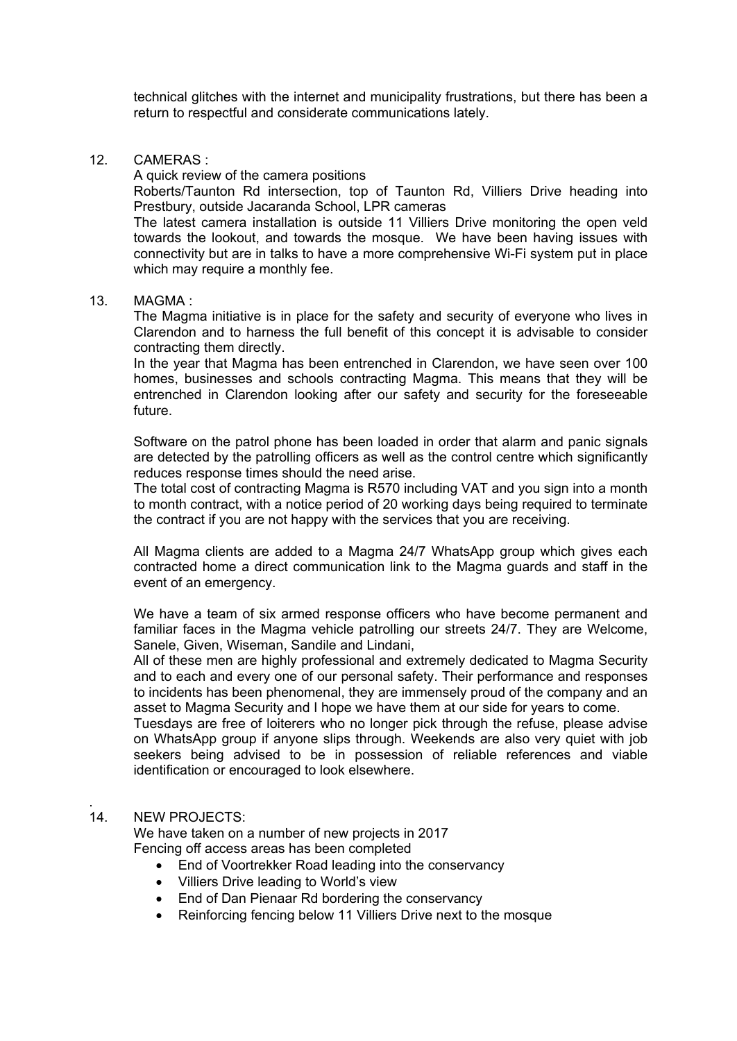technical glitches with the internet and municipality frustrations, but there has been a return to respectful and considerate communications lately.

### 12. CAMERAS ·

A quick review of the camera positions

Roberts/Taunton Rd intersection, top of Taunton Rd, Villiers Drive heading into Prestbury, outside Jacaranda School, LPR cameras

The latest camera installation is outside 11 Villiers Drive monitoring the open veld towards the lookout, and towards the mosque. We have been having issues with connectivity but are in talks to have a more comprehensive Wi-Fi system put in place which may require a monthly fee.

### 13. MAGMA :

The Magma initiative is in place for the safety and security of everyone who lives in Clarendon and to harness the full benefit of this concept it is advisable to consider contracting them directly.

In the year that Magma has been entrenched in Clarendon, we have seen over 100 homes, businesses and schools contracting Magma. This means that they will be entrenched in Clarendon looking after our safety and security for the foreseeable future.

Software on the patrol phone has been loaded in order that alarm and panic signals are detected by the patrolling officers as well as the control centre which significantly reduces response times should the need arise.

The total cost of contracting Magma is R570 including VAT and you sign into a month to month contract, with a notice period of 20 working days being required to terminate the contract if you are not happy with the services that you are receiving.

All Magma clients are added to a Magma 24/7 WhatsApp group which gives each contracted home a direct communication link to the Magma guards and staff in the event of an emergency.

We have a team of six armed response officers who have become permanent and familiar faces in the Magma vehicle patrolling our streets 24/7. They are Welcome, Sanele, Given, Wiseman, Sandile and Lindani,

All of these men are highly professional and extremely dedicated to Magma Security and to each and every one of our personal safety. Their performance and responses to incidents has been phenomenal, they are immensely proud of the company and an asset to Magma Security and I hope we have them at our side for years to come.

Tuesdays are free of loiterers who no longer pick through the refuse, please advise on WhatsApp group if anyone slips through. Weekends are also very quiet with job seekers being advised to be in possession of reliable references and viable identification or encouraged to look elsewhere.

### .14. NEW PROJECTS:

We have taken on a number of new projects in 2017 Fencing off access areas has been completed

- End of Voortrekker Road leading into the conservancy
- Villiers Drive leading to World's view
- End of Dan Pienaar Rd bordering the conservancy
- Reinforcing fencing below 11 Villiers Drive next to the mosque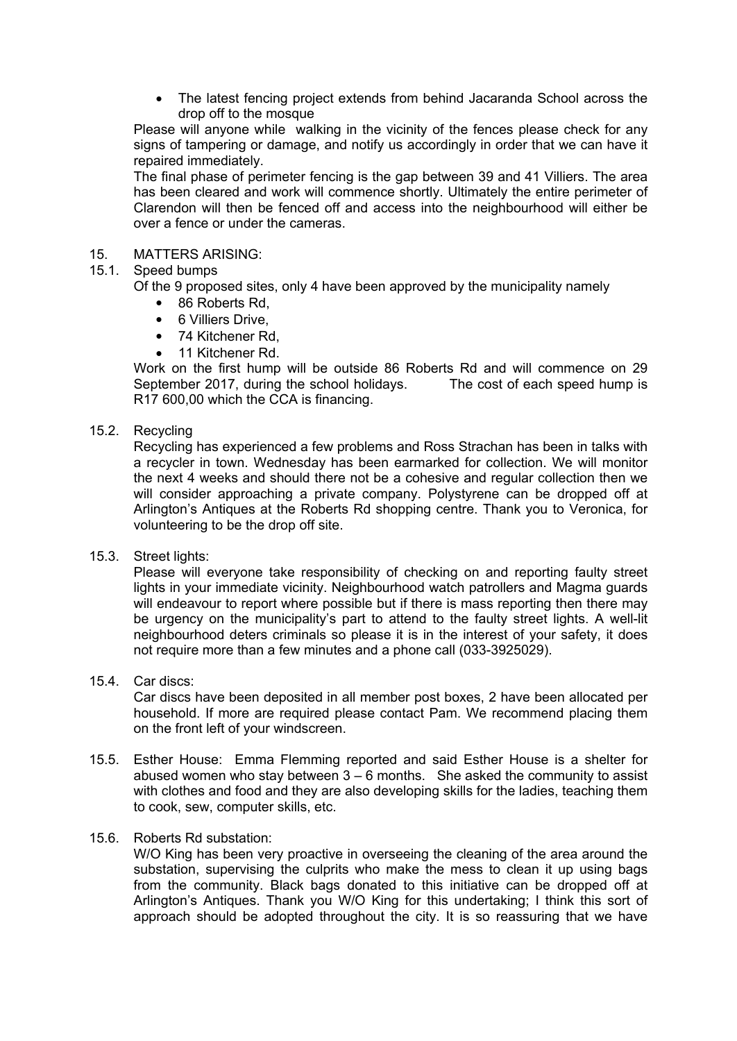The latest fencing project extends from behind Jacaranda School across the drop off to the mosque

Please will anyone while walking in the vicinity of the fences please check for any signs of tampering or damage, and notify us accordingly in order that we can have it repaired immediately.

The final phase of perimeter fencing is the gap between 39 and 41 Villiers. The area has been cleared and work will commence shortly. Ultimately the entire perimeter of Clarendon will then be fenced off and access into the neighbourhood will either be over a fence or under the cameras.

# 15. MATTERS ARISING:

# 15.1. Speed bumps

Of the 9 proposed sites, only 4 have been approved by the municipality namely

- 86 Roberts Rd,
- 6 Villiers Drive.
- 74 Kitchener Rd.
- 11 Kitchener Rd.

Work on the first hump will be outside 86 Roberts Rd and will commence on 29 September 2017, during the school holidays. The cost of each speed hump is R17 600,00 which the CCA is financing.

### 15.2. Recycling

Recycling has experienced a few problems and Ross Strachan has been in talks with a recycler in town. Wednesday has been earmarked for collection. We will monitor the next 4 weeks and should there not be a cohesive and regular collection then we will consider approaching a private company. Polystyrene can be dropped off at Arlington's Antiques at the Roberts Rd shopping centre. Thank you to Veronica, for volunteering to be the drop off site.

### 15.3. Street lights:

Please will everyone take responsibility of checking on and reporting faulty street lights in your immediate vicinity. Neighbourhood watch patrollers and Magma guards will endeavour to report where possible but if there is mass reporting then there may be urgency on the municipality's part to attend to the faulty street lights. A well-lit neighbourhood deters criminals so please it is in the interest of your safety, it does not require more than a few minutes and a phone call (033-3925029).

### 15.4. Car discs:

Car discs have been deposited in all member post boxes, 2 have been allocated per household. If more are required please contact Pam. We recommend placing them on the front left of your windscreen.

15.5. Esther House: Emma Flemming reported and said Esther House is a shelter for abused women who stay between  $3 - 6$  months. She asked the community to assist with clothes and food and they are also developing skills for the ladies, teaching them to cook, sew, computer skills, etc.

### 15.6. Roberts Rd substation:

W/O King has been very proactive in overseeing the cleaning of the area around the substation, supervising the culprits who make the mess to clean it up using bags from the community. Black bags donated to this initiative can be dropped off at Arlington's Antiques. Thank you W/O King for this undertaking; I think this sort of approach should be adopted throughout the city. It is so reassuring that we have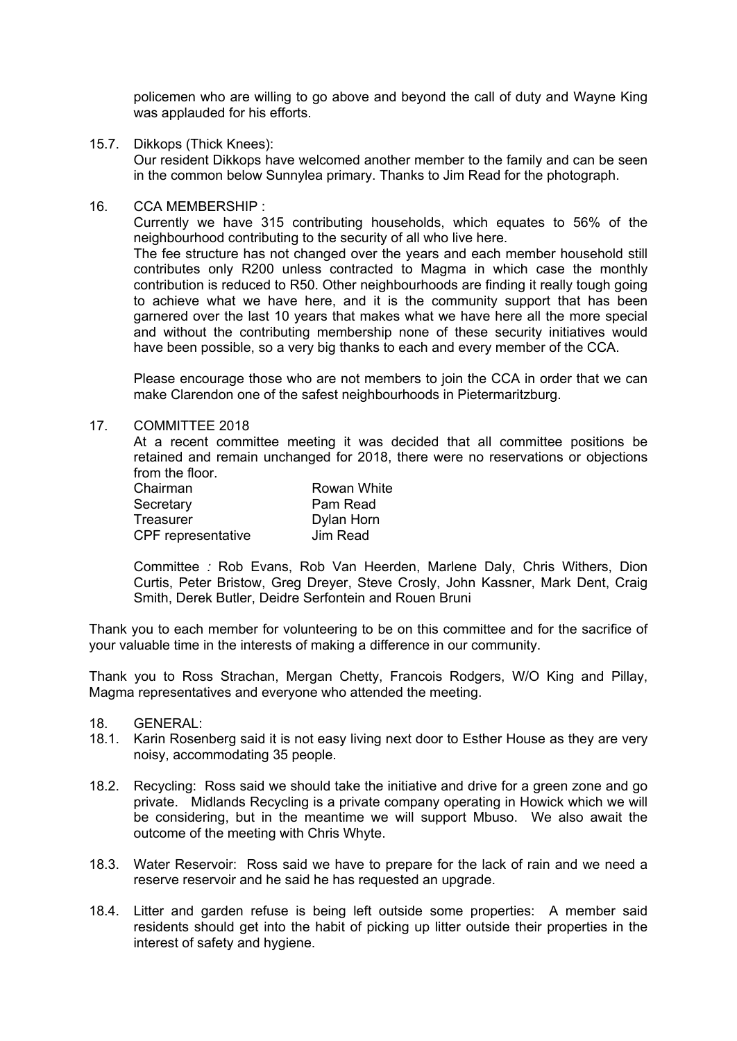policemen who are willing to go above and beyond the call of duty and Wayne King was applauded for his efforts.

15.7. Dikkops (Thick Knees):

Our resident Dikkops have welcomed another member to the family and can be seen in the common below Sunnylea primary. Thanks to Jim Read for the photograph.

# 16. CCA MEMBERSHIP :

Currently we have 315 contributing households, which equates to 56% of the neighbourhood contributing to the security of all who live here.

The fee structure has not changed over the years and each member household still contributes only R200 unless contracted to Magma in which case the monthly contribution is reduced to R50. Other neighbourhoods are finding it really tough going to achieve what we have here, and it is the community support that has been garnered over the last 10 years that makes what we have here all the more special and without the contributing membership none of these security initiatives would have been possible, so a very big thanks to each and every member of the CCA.

Please encourage those who are not members to join the CCA in order that we can make Clarendon one of the safest neighbourhoods in Pietermaritzburg.

### 17. COMMITTEE 2018

At a recent committee meeting it was decided that all committee positions be retained and remain unchanged for 2018, there were no reservations or objections from the floor.

| Chairman           | Rowan White |
|--------------------|-------------|
| Secretary          | Pam Read    |
| Treasurer          | Dylan Horn  |
| CPF representative | Jim Read    |

Committee *:* Rob Evans, Rob Van Heerden, Marlene Daly, Chris Withers, Dion Curtis, Peter Bristow, Greg Dreyer, Steve Crosly, John Kassner, Mark Dent, Craig Smith, Derek Butler, Deidre Serfontein and Rouen Bruni

Thank you to each member for volunteering to be on this committee and for the sacrifice of your valuable time in the interests of making a difference in our community.

Thank you to Ross Strachan, Mergan Chetty, Francois Rodgers, W/O King and Pillay, Magma representatives and everyone who attended the meeting.

- 18. GENERAL:
- 18.1. Karin Rosenberg said it is not easy living next door to Esther House as they are very noisy, accommodating 35 people.
- 18.2. Recycling: Ross said we should take the initiative and drive for a green zone and go private. Midlands Recycling is a private company operating in Howick which we will be considering, but in the meantime we will support Mbuso. We also await the outcome of the meeting with Chris Whyte.
- 18.3. Water Reservoir: Ross said we have to prepare for the lack of rain and we need a reserve reservoir and he said he has requested an upgrade.
- 18.4. Litter and garden refuse is being left outside some properties: A member said residents should get into the habit of picking up litter outside their properties in the interest of safety and hygiene.